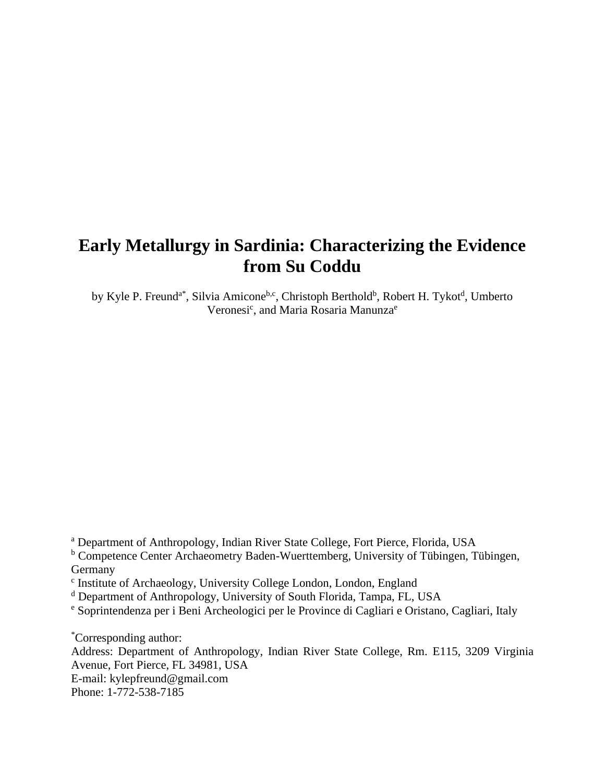# **Early Metallurgy in Sardinia: Characterizing the Evidence from Su Coddu**

by Kyle P. Freund<sup>a\*</sup>, Silvia Amicone<sup>b,c</sup>, Christoph Berthold<sup>b</sup>, Robert H. Tykot<sup>d</sup>, Umberto Veronesi<sup>c</sup>, and Maria Rosaria Manunza<sup>e</sup>

<sup>a</sup> Department of Anthropology, Indian River State College, Fort Pierce, Florida, USA

<sup>b</sup> Competence Center Archaeometry Baden-Wuerttemberg, University of Tübingen, Tübingen, Germany

<sup>c</sup> Institute of Archaeology, University College London, London, England

<sup>d</sup> Department of Anthropology, University of South Florida, Tampa, FL, USA

<sup>e</sup> Soprintendenza per i Beni Archeologici per le Province di Cagliari e Oristano, Cagliari, Italy

\*Corresponding author:

Address: Department of Anthropology, Indian River State College, Rm. E115, 3209 Virginia Avenue, Fort Pierce, FL 34981, USA

E-mail: kylepfreund@gmail.com

Phone: 1-772-538-7185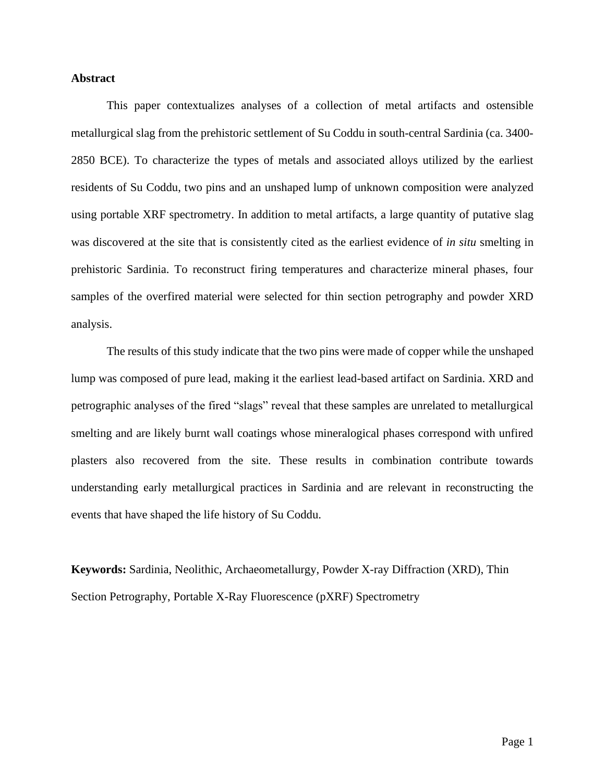# **Abstract**

This paper contextualizes analyses of a collection of metal artifacts and ostensible metallurgical slag from the prehistoric settlement of Su Coddu in south-central Sardinia (ca. 3400- 2850 BCE). To characterize the types of metals and associated alloys utilized by the earliest residents of Su Coddu, two pins and an unshaped lump of unknown composition were analyzed using portable XRF spectrometry. In addition to metal artifacts, a large quantity of putative slag was discovered at the site that is consistently cited as the earliest evidence of *in situ* smelting in prehistoric Sardinia. To reconstruct firing temperatures and characterize mineral phases, four samples of the overfired material were selected for thin section petrography and powder XRD analysis.

The results of this study indicate that the two pins were made of copper while the unshaped lump was composed of pure lead, making it the earliest lead-based artifact on Sardinia. XRD and petrographic analyses of the fired "slags" reveal that these samples are unrelated to metallurgical smelting and are likely burnt wall coatings whose mineralogical phases correspond with unfired plasters also recovered from the site. These results in combination contribute towards understanding early metallurgical practices in Sardinia and are relevant in reconstructing the events that have shaped the life history of Su Coddu.

**Keywords:** Sardinia, Neolithic, Archaeometallurgy, Powder X-ray Diffraction (XRD), Thin Section Petrography, Portable X-Ray Fluorescence (pXRF) Spectrometry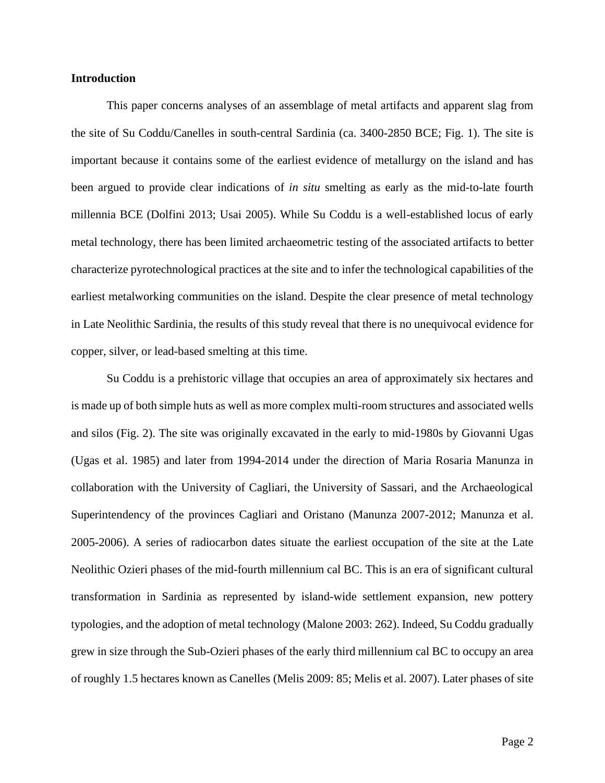## **Introduction**

This paper concerns analyses of an assemblage of metal artifacts and apparent slag from the site of Su Coddu/Canelles in south-central Sardinia (ca. 3400-2850 BCE; Fig. 1). The site is important because it contains some of the earliest evidence of metallurgy on the island and has been argued to provide clear indications of *in situ* smelting as early as the mid-to-late fourth millennia BCE (Dolfini 2013; Usai 2005). While Su Coddu is a well-established locus of early metal technology, there has been limited archaeometric testing of the associated artifacts to better characterize pyrotechnological practices at the site and to infer the technological capabilities of the earliest metalworking communities on the island. Despite the clear presence of metal technology in Late Neolithic Sardinia, the results of this study reveal that there is no unequivocal evidence for copper, silver, or lead-based smelting at this time.

Su Coddu is a prehistoric village that occupies an area of approximately six hectares and is made up of both simple huts as well as more complex multi-room structures and associated wells and silos (Fig. 2). The site was originally excavated in the early to mid-1980s by Giovanni Ugas (Ugas et al. 1985) and later from 1994-2014 under the direction of Maria Rosaria Manunza in collaboration with the University of Cagliari, the University of Sassari, and the Archaeological Superintendency of the provinces Cagliari and Oristano (Manunza 2007-2012; Manunza et al. 2005-2006). A series of radiocarbon dates situate the earliest occupation of the site at the Late Neolithic Ozieri phases of the mid-fourth millennium cal BC. This is an era of significant cultural transformation in Sardinia as represented by island-wide settlement expansion, new pottery typologies, and the adoption of metal technology (Malone 2003: 262). Indeed, Su Coddu gradually grew in size through the Sub-Ozieri phases of the early third millennium cal BC to occupy an area of roughly 1.5 hectares known as Canelles (Melis 2009: 85; Melis et al. 2007). Later phases of site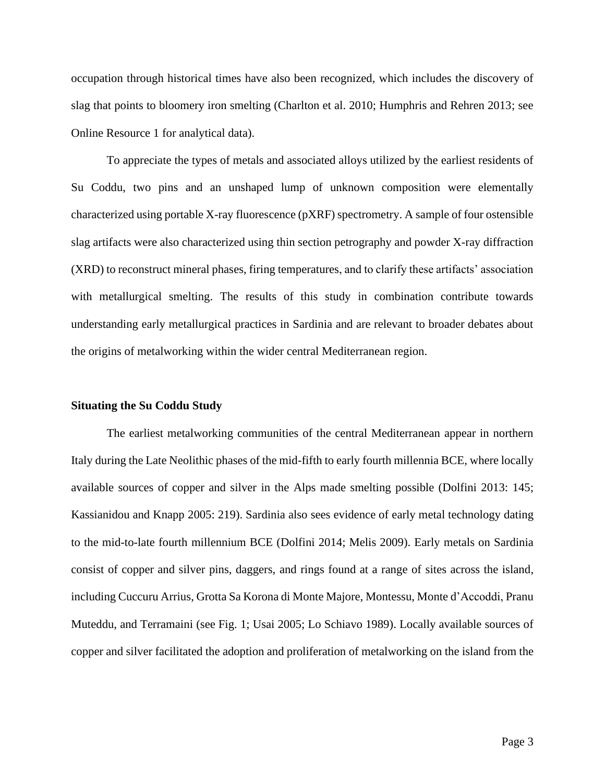occupation through historical times have also been recognized, which includes the discovery of slag that points to bloomery iron smelting (Charlton et al. 2010; Humphris and Rehren 2013; see Online Resource 1 for analytical data).

To appreciate the types of metals and associated alloys utilized by the earliest residents of Su Coddu, two pins and an unshaped lump of unknown composition were elementally characterized using portable X-ray fluorescence (pXRF) spectrometry. A sample of four ostensible slag artifacts were also characterized using thin section petrography and powder X-ray diffraction (XRD) to reconstruct mineral phases, firing temperatures, and to clarify these artifacts' association with metallurgical smelting. The results of this study in combination contribute towards understanding early metallurgical practices in Sardinia and are relevant to broader debates about the origins of metalworking within the wider central Mediterranean region.

#### **Situating the Su Coddu Study**

The earliest metalworking communities of the central Mediterranean appear in northern Italy during the Late Neolithic phases of the mid-fifth to early fourth millennia BCE, where locally available sources of copper and silver in the Alps made smelting possible (Dolfini 2013: 145; Kassianidou and Knapp 2005: 219). Sardinia also sees evidence of early metal technology dating to the mid-to-late fourth millennium BCE (Dolfini 2014; Melis 2009). Early metals on Sardinia consist of copper and silver pins, daggers, and rings found at a range of sites across the island, including Cuccuru Arrius, Grotta Sa Korona di Monte Majore, Montessu, Monte d'Accoddi, Pranu Muteddu, and Terramaini (see Fig. 1; Usai 2005; Lo Schiavo 1989). Locally available sources of copper and silver facilitated the adoption and proliferation of metalworking on the island from the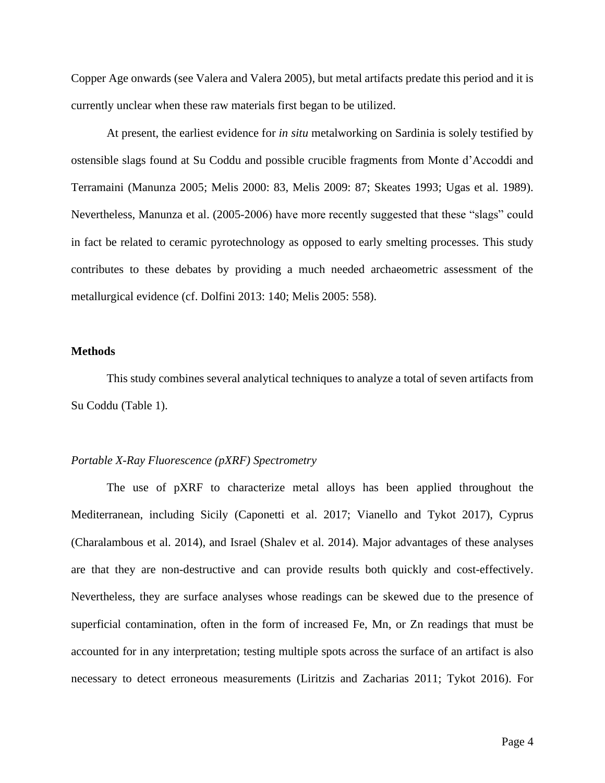Copper Age onwards (see Valera and Valera 2005), but metal artifacts predate this period and it is currently unclear when these raw materials first began to be utilized.

At present, the earliest evidence for *in situ* metalworking on Sardinia is solely testified by ostensible slags found at Su Coddu and possible crucible fragments from Monte d'Accoddi and Terramaini (Manunza 2005; Melis 2000: 83, Melis 2009: 87; Skeates 1993; Ugas et al. 1989). Nevertheless, Manunza et al. (2005-2006) have more recently suggested that these "slags" could in fact be related to ceramic pyrotechnology as opposed to early smelting processes. This study contributes to these debates by providing a much needed archaeometric assessment of the metallurgical evidence (cf. Dolfini 2013: 140; Melis 2005: 558).

#### **Methods**

This study combines several analytical techniques to analyze a total of seven artifacts from Su Coddu (Table 1).

#### *Portable X-Ray Fluorescence (pXRF) Spectrometry*

The use of pXRF to characterize metal alloys has been applied throughout the Mediterranean, including Sicily (Caponetti et al. 2017; Vianello and Tykot 2017), Cyprus (Charalambous et al. 2014), and Israel (Shalev et al. 2014). Major advantages of these analyses are that they are non-destructive and can provide results both quickly and cost-effectively. Nevertheless, they are surface analyses whose readings can be skewed due to the presence of superficial contamination, often in the form of increased Fe, Mn, or Zn readings that must be accounted for in any interpretation; testing multiple spots across the surface of an artifact is also necessary to detect erroneous measurements (Liritzis and Zacharias 2011; Tykot 2016). For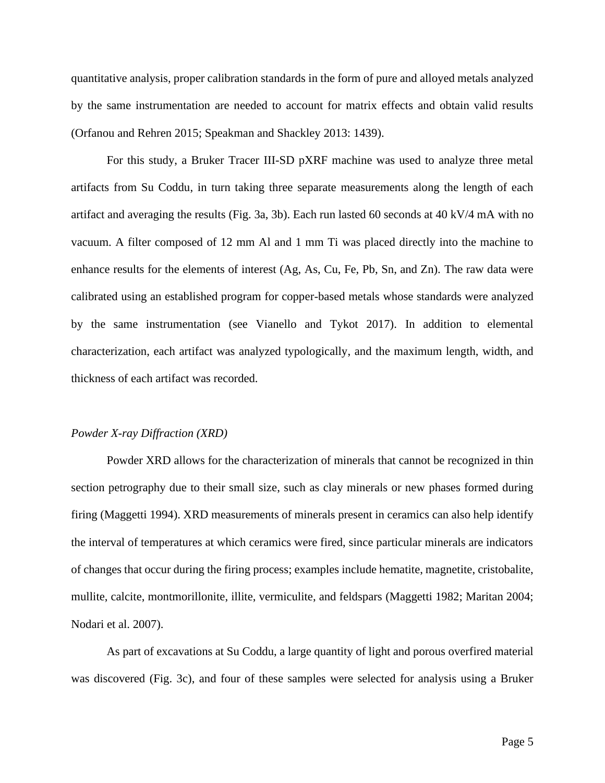quantitative analysis, proper calibration standards in the form of pure and alloyed metals analyzed by the same instrumentation are needed to account for matrix effects and obtain valid results (Orfanou and Rehren 2015; Speakman and Shackley 2013: 1439).

For this study, a Bruker Tracer III-SD pXRF machine was used to analyze three metal artifacts from Su Coddu, in turn taking three separate measurements along the length of each artifact and averaging the results (Fig. 3a, 3b). Each run lasted 60 seconds at 40 kV/4 mA with no vacuum. A filter composed of 12 mm Al and 1 mm Ti was placed directly into the machine to enhance results for the elements of interest (Ag, As, Cu, Fe, Pb, Sn, and Zn). The raw data were calibrated using an established program for copper-based metals whose standards were analyzed by the same instrumentation (see Vianello and Tykot 2017). In addition to elemental characterization, each artifact was analyzed typologically, and the maximum length, width, and thickness of each artifact was recorded.

#### *Powder X-ray Diffraction (XRD)*

Powder XRD allows for the characterization of minerals that cannot be recognized in thin section petrography due to their small size, such as clay minerals or new phases formed during firing (Maggetti 1994). XRD measurements of minerals present in ceramics can also help identify the interval of temperatures at which ceramics were fired, since particular minerals are indicators of changes that occur during the firing process; examples include hematite, magnetite, cristobalite, mullite, calcite, montmorillonite, illite, vermiculite, and feldspars (Maggetti 1982; Maritan 2004; Nodari et al. 2007).

As part of excavations at Su Coddu, a large quantity of light and porous overfired material was discovered (Fig. 3c), and four of these samples were selected for analysis using a Bruker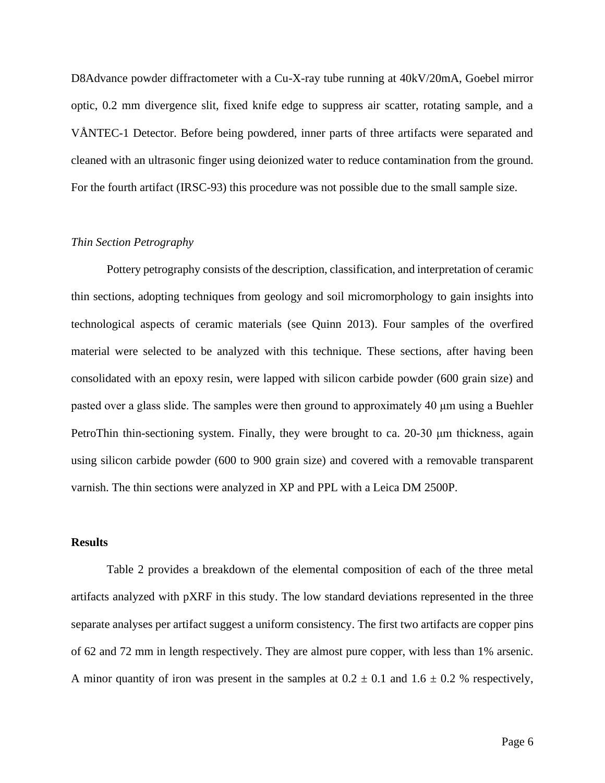D8Advance powder diffractometer with a Cu-X-ray tube running at 40kV/20mA, Goebel mirror optic, 0.2 mm divergence slit, fixed knife edge to suppress air scatter, rotating sample, and a VÅNTEC-1 Detector. Before being powdered, inner parts of three artifacts were separated and cleaned with an ultrasonic finger using deionized water to reduce contamination from the ground. For the fourth artifact (IRSC-93) this procedure was not possible due to the small sample size.

## *Thin Section Petrography*

Pottery petrography consists of the description, classification, and interpretation of ceramic thin sections, adopting techniques from geology and soil micromorphology to gain insights into technological aspects of ceramic materials (see Quinn 2013). Four samples of the overfired material were selected to be analyzed with this technique. These sections, after having been consolidated with an epoxy resin, were lapped with silicon carbide powder (600 grain size) and pasted over a glass slide. The samples were then ground to approximately 40 μm using a Buehler PetroThin thin-sectioning system. Finally, they were brought to ca. 20-30 μm thickness, again using silicon carbide powder (600 to 900 grain size) and covered with a removable transparent varnish. The thin sections were analyzed in XP and PPL with a Leica DM 2500P.

#### **Results**

Table 2 provides a breakdown of the elemental composition of each of the three metal artifacts analyzed with pXRF in this study. The low standard deviations represented in the three separate analyses per artifact suggest a uniform consistency. The first two artifacts are copper pins of 62 and 72 mm in length respectively. They are almost pure copper, with less than 1% arsenic. A minor quantity of iron was present in the samples at  $0.2 \pm 0.1$  and  $1.6 \pm 0.2$  % respectively,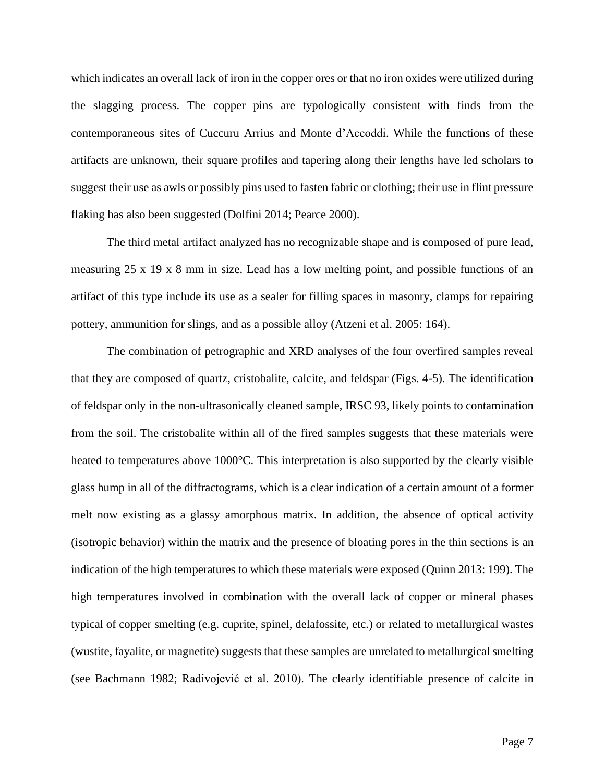which indicates an overall lack of iron in the copper ores or that no iron oxides were utilized during the slagging process. The copper pins are typologically consistent with finds from the contemporaneous sites of Cuccuru Arrius and Monte d'Accoddi. While the functions of these artifacts are unknown, their square profiles and tapering along their lengths have led scholars to suggest their use as awls or possibly pins used to fasten fabric or clothing; their use in flint pressure flaking has also been suggested (Dolfini 2014; Pearce 2000).

The third metal artifact analyzed has no recognizable shape and is composed of pure lead, measuring 25 x 19 x 8 mm in size. Lead has a low melting point, and possible functions of an artifact of this type include its use as a sealer for filling spaces in masonry, clamps for repairing pottery, ammunition for slings, and as a possible alloy (Atzeni et al. 2005: 164).

The combination of petrographic and XRD analyses of the four overfired samples reveal that they are composed of quartz, cristobalite, calcite, and feldspar (Figs. 4-5). The identification of feldspar only in the non-ultrasonically cleaned sample, IRSC 93, likely points to contamination from the soil. The cristobalite within all of the fired samples suggests that these materials were heated to temperatures above 1000°C. This interpretation is also supported by the clearly visible glass hump in all of the diffractograms, which is a clear indication of a certain amount of a former melt now existing as a glassy amorphous matrix. In addition, the absence of optical activity (isotropic behavior) within the matrix and the presence of bloating pores in the thin sections is an indication of the high temperatures to which these materials were exposed (Quinn 2013: 199). The high temperatures involved in combination with the overall lack of copper or mineral phases typical of copper smelting (e.g. cuprite, spinel, delafossite, etc.) or related to metallurgical wastes (wustite, fayalite, or magnetite) suggests that these samples are unrelated to metallurgical smelting (see Bachmann 1982; Radivojević et al. 2010). The clearly identifiable presence of calcite in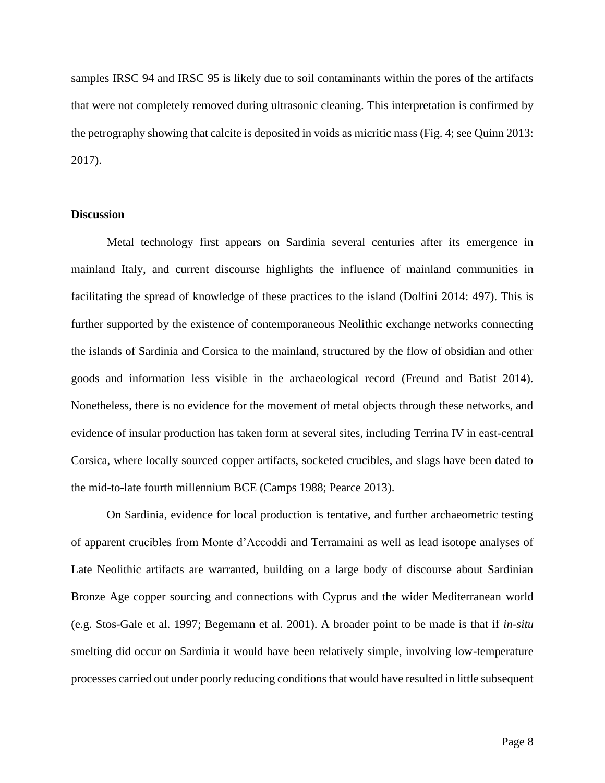samples IRSC 94 and IRSC 95 is likely due to soil contaminants within the pores of the artifacts that were not completely removed during ultrasonic cleaning. This interpretation is confirmed by the petrography showing that calcite is deposited in voids as micritic mass (Fig. 4; see Quinn 2013: 2017).

## **Discussion**

Metal technology first appears on Sardinia several centuries after its emergence in mainland Italy, and current discourse highlights the influence of mainland communities in facilitating the spread of knowledge of these practices to the island (Dolfini 2014: 497). This is further supported by the existence of contemporaneous Neolithic exchange networks connecting the islands of Sardinia and Corsica to the mainland, structured by the flow of obsidian and other goods and information less visible in the archaeological record (Freund and Batist 2014). Nonetheless, there is no evidence for the movement of metal objects through these networks, and evidence of insular production has taken form at several sites, including Terrina IV in east-central Corsica, where locally sourced copper artifacts, socketed crucibles, and slags have been dated to the mid-to-late fourth millennium BCE (Camps 1988; Pearce 2013).

On Sardinia, evidence for local production is tentative, and further archaeometric testing of apparent crucibles from Monte d'Accoddi and Terramaini as well as lead isotope analyses of Late Neolithic artifacts are warranted, building on a large body of discourse about Sardinian Bronze Age copper sourcing and connections with Cyprus and the wider Mediterranean world (e.g. Stos-Gale et al. 1997; Begemann et al. 2001). A broader point to be made is that if *in-situ* smelting did occur on Sardinia it would have been relatively simple, involving low-temperature processes carried out under poorly reducing conditions that would have resulted in little subsequent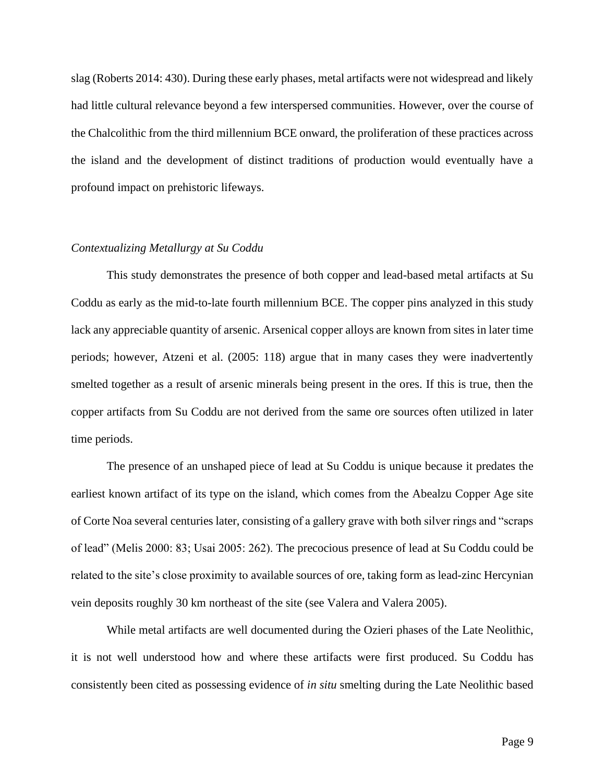slag (Roberts 2014: 430). During these early phases, metal artifacts were not widespread and likely had little cultural relevance beyond a few interspersed communities. However, over the course of the Chalcolithic from the third millennium BCE onward, the proliferation of these practices across the island and the development of distinct traditions of production would eventually have a profound impact on prehistoric lifeways.

#### *Contextualizing Metallurgy at Su Coddu*

This study demonstrates the presence of both copper and lead-based metal artifacts at Su Coddu as early as the mid-to-late fourth millennium BCE. The copper pins analyzed in this study lack any appreciable quantity of arsenic. Arsenical copper alloys are known from sites in later time periods; however, Atzeni et al. (2005: 118) argue that in many cases they were inadvertently smelted together as a result of arsenic minerals being present in the ores. If this is true, then the copper artifacts from Su Coddu are not derived from the same ore sources often utilized in later time periods.

The presence of an unshaped piece of lead at Su Coddu is unique because it predates the earliest known artifact of its type on the island, which comes from the Abealzu Copper Age site of Corte Noa several centuries later, consisting of a gallery grave with both silver rings and "scraps of lead" (Melis 2000: 83; Usai 2005: 262). The precocious presence of lead at Su Coddu could be related to the site's close proximity to available sources of ore, taking form as lead-zinc Hercynian vein deposits roughly 30 km northeast of the site (see Valera and Valera 2005).

While metal artifacts are well documented during the Ozieri phases of the Late Neolithic, it is not well understood how and where these artifacts were first produced. Su Coddu has consistently been cited as possessing evidence of *in situ* smelting during the Late Neolithic based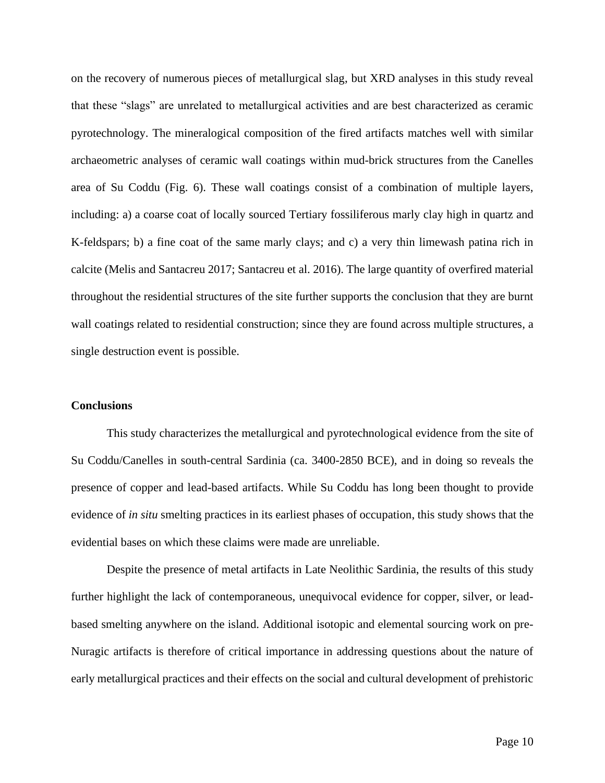on the recovery of numerous pieces of metallurgical slag, but XRD analyses in this study reveal that these "slags" are unrelated to metallurgical activities and are best characterized as ceramic pyrotechnology. The mineralogical composition of the fired artifacts matches well with similar archaeometric analyses of ceramic wall coatings within mud-brick structures from the Canelles area of Su Coddu (Fig. 6). These wall coatings consist of a combination of multiple layers, including: a) a coarse coat of locally sourced Tertiary fossiliferous marly clay high in quartz and K-feldspars; b) a fine coat of the same marly clays; and c) a very thin limewash patina rich in calcite (Melis and Santacreu 2017; Santacreu et al. 2016). The large quantity of overfired material throughout the residential structures of the site further supports the conclusion that they are burnt wall coatings related to residential construction; since they are found across multiple structures, a single destruction event is possible.

#### **Conclusions**

This study characterizes the metallurgical and pyrotechnological evidence from the site of Su Coddu/Canelles in south-central Sardinia (ca. 3400-2850 BCE), and in doing so reveals the presence of copper and lead-based artifacts. While Su Coddu has long been thought to provide evidence of *in situ* smelting practices in its earliest phases of occupation, this study shows that the evidential bases on which these claims were made are unreliable.

Despite the presence of metal artifacts in Late Neolithic Sardinia, the results of this study further highlight the lack of contemporaneous, unequivocal evidence for copper, silver, or leadbased smelting anywhere on the island. Additional isotopic and elemental sourcing work on pre-Nuragic artifacts is therefore of critical importance in addressing questions about the nature of early metallurgical practices and their effects on the social and cultural development of prehistoric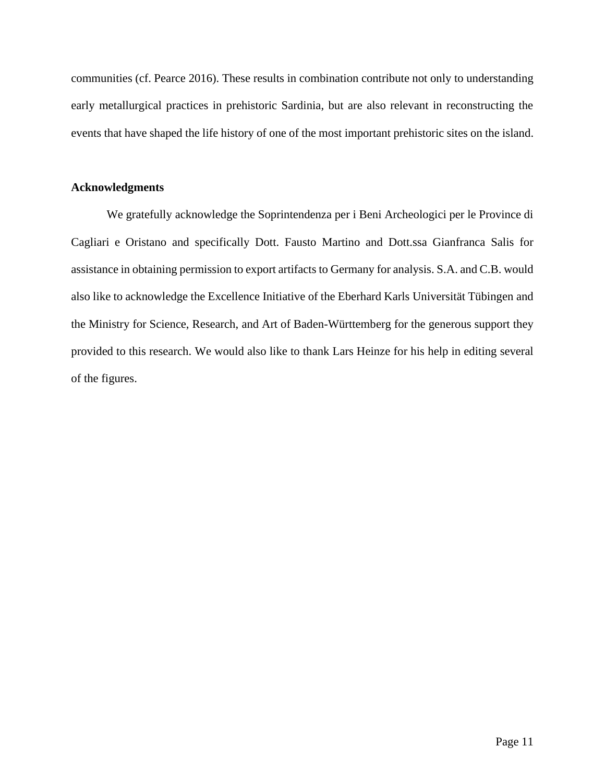communities (cf. Pearce 2016). These results in combination contribute not only to understanding early metallurgical practices in prehistoric Sardinia, but are also relevant in reconstructing the events that have shaped the life history of one of the most important prehistoric sites on the island.

# **Acknowledgments**

We gratefully acknowledge the Soprintendenza per i Beni Archeologici per le Province di Cagliari e Oristano and specifically Dott. Fausto Martino and Dott.ssa Gianfranca Salis for assistance in obtaining permission to export artifacts to Germany for analysis. S.A. and C.B. would also like to acknowledge the Excellence Initiative of the Eberhard Karls Universität Tübingen and the Ministry for Science, Research, and Art of Baden-Württemberg for the generous support they provided to this research. We would also like to thank Lars Heinze for his help in editing several of the figures.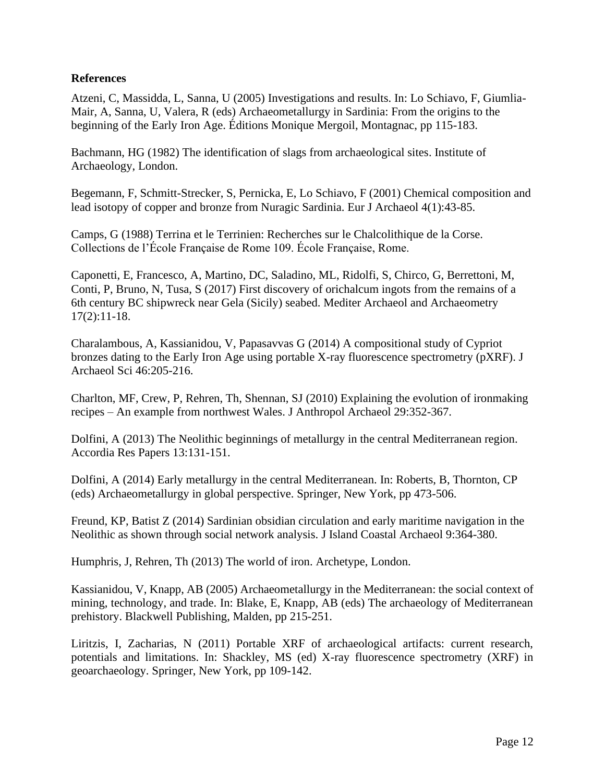# **References**

Atzeni, C, Massidda, L, Sanna, U (2005) Investigations and results. In: Lo Schiavo, F, Giumlia-Mair, A, Sanna, U, Valera, R (eds) Archaeometallurgy in Sardinia: From the origins to the beginning of the Early Iron Age. Éditions Monique Mergoil, Montagnac, pp 115-183.

Bachmann, HG (1982) The identification of slags from archaeological sites. Institute of Archaeology, London.

Begemann, F, Schmitt-Strecker, S, Pernicka, E, Lo Schiavo, F (2001) Chemical composition and lead isotopy of copper and bronze from Nuragic Sardinia. Eur J Archaeol 4(1):43-85.

Camps, G (1988) Terrina et le Terrinien: Recherches sur le Chalcolithique de la Corse. Collections de l'École Française de Rome 109. École Française, Rome.

Caponetti, E, Francesco, A, Martino, DC, Saladino, ML, Ridolfi, S, Chirco, G, Berrettoni, M, Conti, P, Bruno, N, Tusa, S (2017) First discovery of orichalcum ingots from the remains of a 6th century BC shipwreck near Gela (Sicily) seabed. Mediter Archaeol and Archaeometry 17(2):11-18.

Charalambous, A, Kassianidou, V, Papasavvas G (2014) A compositional study of Cypriot bronzes dating to the Early Iron Age using portable X-ray fluorescence spectrometry (pXRF). J Archaeol Sci 46:205-216.

Charlton, MF, Crew, P, Rehren, Th, Shennan, SJ (2010) Explaining the evolution of ironmaking recipes – An example from northwest Wales. J Anthropol Archaeol 29:352-367.

Dolfini, A (2013) The Neolithic beginnings of metallurgy in the central Mediterranean region. Accordia Res Papers 13:131-151.

Dolfini, A (2014) Early metallurgy in the central Mediterranean. In: Roberts, B, Thornton, CP (eds) Archaeometallurgy in global perspective. Springer, New York, pp 473-506.

Freund, KP, Batist Z (2014) Sardinian obsidian circulation and early maritime navigation in the Neolithic as shown through social network analysis. J Island Coastal Archaeol 9:364-380.

Humphris, J, Rehren, Th (2013) The world of iron. Archetype, London.

Kassianidou, V, Knapp, AB (2005) Archaeometallurgy in the Mediterranean: the social context of mining, technology, and trade. In: Blake, E, Knapp, AB (eds) The archaeology of Mediterranean prehistory. Blackwell Publishing, Malden, pp 215-251.

Liritzis, I, Zacharias, N (2011) Portable XRF of archaeological artifacts: current research, potentials and limitations. In: Shackley, MS (ed) X-ray fluorescence spectrometry (XRF) in geoarchaeology. Springer, New York, pp 109-142.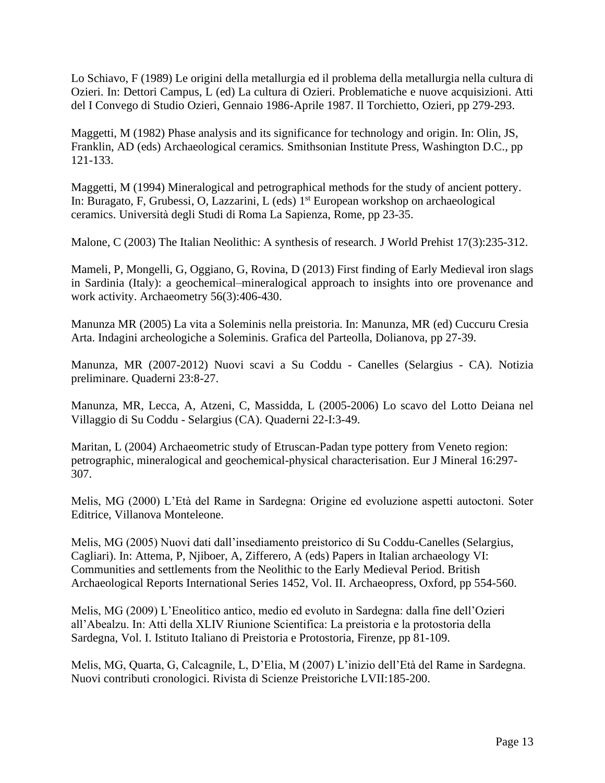Lo Schiavo, F (1989) Le origini della metallurgia ed il problema della metallurgia nella cultura di Ozieri. In: Dettori Campus, L (ed) La cultura di Ozieri. Problematiche e nuove acquisizioni. Atti del I Convego di Studio Ozieri, Gennaio 1986-Aprile 1987. Il Torchietto, Ozieri, pp 279-293.

Maggetti, M (1982) Phase analysis and its significance for technology and origin. In: Olin, JS, Franklin, AD (eds) Archaeological ceramics*.* Smithsonian Institute Press, Washington D.C., pp 121-133.

Maggetti, M (1994) Mineralogical and petrographical methods for the study of ancient pottery. In: Buragato, F, Grubessi, O, Lazzarini, L (eds) 1 st European workshop on archaeological ceramics. Università degli Studi di Roma La Sapienza, Rome, pp 23-35.

Malone, C (2003) The Italian Neolithic: A synthesis of research. J World Prehist 17(3):235-312.

Mameli, P, Mongelli, G, Oggiano, G, Rovina, D (2013) First finding of Early Medieval iron slags in Sardinia (Italy): a geochemical–mineralogical approach to insights into ore provenance and work activity. Archaeometry 56(3):406-430.

Manunza MR (2005) La vita a Soleminis nella preistoria. In: Manunza, MR (ed) Cuccuru Cresia Arta. Indagini archeologiche a Soleminis. Grafica del Parteolla, Dolianova, pp 27-39.

Manunza, MR (2007-2012) Nuovi scavi a Su Coddu - Canelles (Selargius - CA). Notizia preliminare. Quaderni 23:8-27.

Manunza, MR, Lecca, A, Atzeni, C, Massidda, L (2005-2006) Lo scavo del Lotto Deiana nel Villaggio di Su Coddu - Selargius (CA). Quaderni 22-I:3-49.

Maritan, L (2004) Archaeometric study of Etruscan-Padan type pottery from Veneto region: petrographic, mineralogical and geochemical-physical characterisation. Eur J Mineral 16:297- 307.

Melis, MG (2000) L'Età del Rame in Sardegna: Origine ed evoluzione aspetti autoctoni. Soter Editrice, Villanova Monteleone.

Melis, MG (2005) Nuovi dati dall'insediamento preistorico di Su Coddu-Canelles (Selargius, Cagliari). In: Attema, P, Njiboer, A, Zifferero, A (eds) Papers in Italian archaeology VI: Communities and settlements from the Neolithic to the Early Medieval Period. British Archaeological Reports International Series 1452, Vol. II. Archaeopress, Oxford, pp 554-560.

Melis, MG (2009) L'Eneolitico antico, medio ed evoluto in Sardegna: dalla fine dell'Ozieri all'Abealzu. In: Atti della XLIV Riunione Scientifica: La preistoria e la protostoria della Sardegna, Vol. I. Istituto Italiano di Preistoria e Protostoria, Firenze, pp 81-109.

Melis, MG, Quarta, G, Calcagnile, L, D'Elia, M (2007) L'inizio dell'Età del Rame in Sardegna. Nuovi contributi cronologici. Rivista di Scienze Preistoriche LVII:185-200.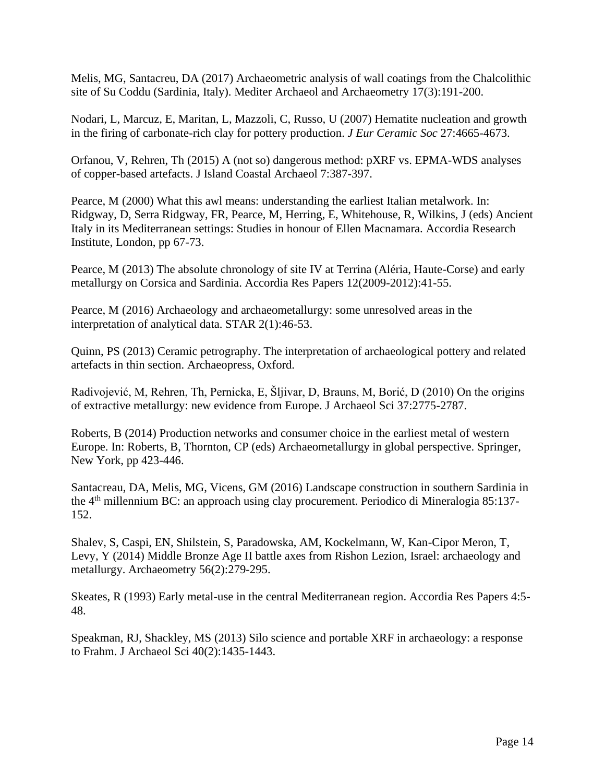Melis, MG, Santacreu, DA (2017) Archaeometric analysis of wall coatings from the Chalcolithic site of Su Coddu (Sardinia, Italy). Mediter Archaeol and Archaeometry 17(3):191-200.

Nodari, L, Marcuz, E, Maritan, L, Mazzoli, C, Russo, U (2007) Hematite nucleation and growth in the firing of carbonate-rich clay for pottery production. *J Eur Ceramic Soc* 27:4665-4673.

Orfanou, V, Rehren, Th (2015) A (not so) dangerous method: pXRF vs. EPMA-WDS analyses of copper-based artefacts. J Island Coastal Archaeol 7:387-397.

Pearce, M (2000) What this awl means: understanding the earliest Italian metalwork. In: Ridgway, D, Serra Ridgway, FR, Pearce, M, Herring, E, Whitehouse, R, Wilkins, J (eds) Ancient Italy in its Mediterranean settings: Studies in honour of Ellen Macnamara. Accordia Research Institute, London, pp 67-73.

Pearce, M (2013) The absolute chronology of site IV at Terrina (Aléria, Haute-Corse) and early metallurgy on Corsica and Sardinia. Accordia Res Papers 12(2009-2012):41-55.

Pearce, M (2016) Archaeology and archaeometallurgy: some unresolved areas in the interpretation of analytical data. STAR 2(1):46-53.

Quinn, PS (2013) Ceramic petrography. The interpretation of archaeological pottery and related artefacts in thin section. Archaeopress, Oxford.

Radivojević, M, Rehren, Th, Pernicka, E, Šljivar, D, Brauns, M, Borić, D (2010) On the origins of extractive metallurgy: new evidence from Europe. J Archaeol Sci 37:2775-2787.

Roberts, B (2014) Production networks and consumer choice in the earliest metal of western Europe. In: Roberts, B, Thornton, CP (eds) Archaeometallurgy in global perspective. Springer, New York, pp 423-446.

Santacreau, DA, Melis, MG, Vicens, GM (2016) Landscape construction in southern Sardinia in the 4th millennium BC: an approach using clay procurement. Periodico di Mineralogia 85:137- 152.

Shalev, S, Caspi, EN, Shilstein, S, Paradowska, AM, Kockelmann, W, Kan-Cipor Meron, T, Levy, Y (2014) Middle Bronze Age II battle axes from Rishon Lezion, Israel: archaeology and metallurgy. Archaeometry 56(2):279-295.

Skeates, R (1993) Early metal-use in the central Mediterranean region. Accordia Res Papers 4:5- 48.

Speakman, RJ, Shackley, MS (2013) Silo science and portable XRF in archaeology: a response to Frahm. J Archaeol Sci 40(2):1435-1443.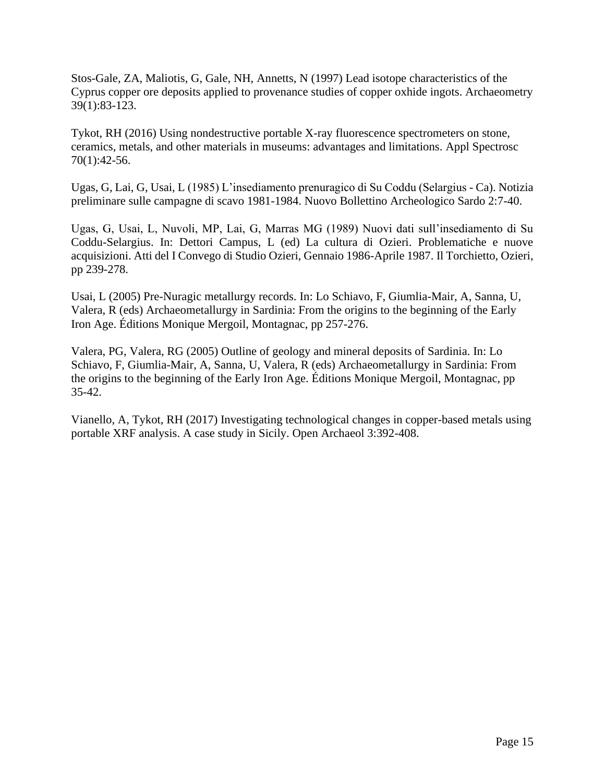Stos-Gale, ZA, Maliotis, G, Gale, NH, Annetts, N (1997) Lead isotope characteristics of the Cyprus copper ore deposits applied to provenance studies of copper oxhide ingots. Archaeometry 39(1):83-123.

Tykot, RH (2016) Using nondestructive portable X-ray fluorescence spectrometers on stone, ceramics, metals, and other materials in museums: advantages and limitations. Appl Spectrosc 70(1):42-56.

Ugas, G, Lai, G, Usai, L (1985) L'insediamento prenuragico di Su Coddu (Selargius - Ca). Notizia preliminare sulle campagne di scavo 1981-1984. Nuovo Bollettino Archeologico Sardo 2:7-40.

Ugas, G, Usai, L, Nuvoli, MP, Lai, G, Marras MG (1989) Nuovi dati sull'insediamento di Su Coddu-Selargius. In: Dettori Campus, L (ed) La cultura di Ozieri. Problematiche e nuove acquisizioni. Atti del I Convego di Studio Ozieri, Gennaio 1986-Aprile 1987. Il Torchietto, Ozieri, pp 239-278.

Usai, L (2005) Pre-Nuragic metallurgy records. In: Lo Schiavo, F, Giumlia-Mair, A, Sanna, U, Valera, R (eds) Archaeometallurgy in Sardinia: From the origins to the beginning of the Early Iron Age. Éditions Monique Mergoil, Montagnac, pp 257-276.

Valera, PG, Valera, RG (2005) Outline of geology and mineral deposits of Sardinia. In: Lo Schiavo, F, Giumlia-Mair, A, Sanna, U, Valera, R (eds) Archaeometallurgy in Sardinia: From the origins to the beginning of the Early Iron Age. Éditions Monique Mergoil, Montagnac, pp 35-42.

Vianello, A, Tykot, RH (2017) Investigating technological changes in copper-based metals using portable XRF analysis. A case study in Sicily. Open Archaeol 3:392-408.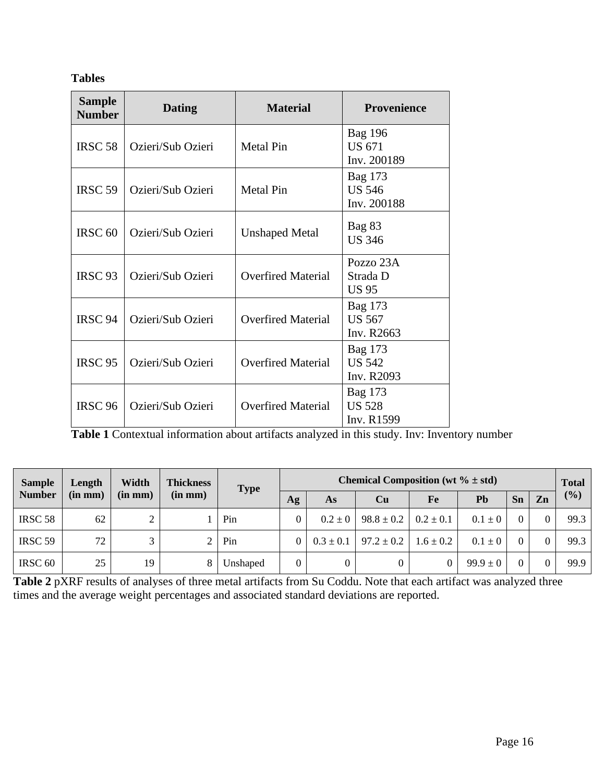# **Tables**

| <b>Sample</b><br><b>Number</b> | <b>Dating</b>     | <b>Material</b>           | <b>Provenience</b>                             |  |  |  |
|--------------------------------|-------------------|---------------------------|------------------------------------------------|--|--|--|
| <b>IRSC 58</b>                 | Ozieri/Sub Ozieri | <b>Metal Pin</b>          | <b>Bag 196</b><br><b>US 671</b><br>Inv. 200189 |  |  |  |
| IRSC <sub>59</sub>             | Ozieri/Sub Ozieri | <b>Metal Pin</b>          | Bag 173<br><b>US 546</b><br>Inv. 200188        |  |  |  |
| IRSC <sub>60</sub>             | Ozieri/Sub Ozieri | <b>Unshaped Metal</b>     | Bag 83<br><b>US 346</b>                        |  |  |  |
| IRSC <sub>93</sub>             | Ozieri/Sub Ozieri | <b>Overfired Material</b> | Pozzo 23A<br>Strada D<br><b>US 95</b>          |  |  |  |
| IRSC 94                        | Ozieri/Sub Ozieri | <b>Overfired Material</b> | Bag 173<br><b>US 567</b><br>Inv. R2663         |  |  |  |
| <b>IRSC 95</b>                 | Ozieri/Sub Ozieri | <b>Overfired Material</b> | Bag 173<br><b>US 542</b><br>Inv. R2093         |  |  |  |
| <b>IRSC 96</b>                 | Ozieri/Sub Ozieri | <b>Overfired Material</b> | Bag 173<br><b>US 528</b><br>Inv. R1599         |  |  |  |

**Table 1** Contextual information about artifacts analyzed in this study. Inv: Inventory number

| <b>Sample</b><br><b>Number</b> | Length<br>$(in \, mm)$ | Width<br>$(in \, mm)$ | <b>Thickness</b><br>$(in \, mm)$ | <b>Type</b> | Chemical Composition (wt $\% \pm std$ ) |               |                |               |              |                |    | <b>Total</b> |
|--------------------------------|------------------------|-----------------------|----------------------------------|-------------|-----------------------------------------|---------------|----------------|---------------|--------------|----------------|----|--------------|
|                                |                        |                       |                                  |             | Ag                                      | As            | Cu             | Fe            | Pb           | Sn             | Zn | (9/0)        |
| IRSC <sub>58</sub>             | 62                     |                       |                                  | Pin         |                                         | $0.2 \pm 0$   | $98.8 \pm 0.2$ | $0.2 \pm 0.1$ | $0.1 \pm 0$  | $\Omega$       |    | 99.3         |
| IRSC 59                        | 72                     |                       | ∠                                | Pin         |                                         | $0.3 \pm 0.1$ | $97.2 \pm 0.2$ | $1.6 \pm 0.2$ | $0.1 \pm 0$  | $\Omega$       |    | 99.3         |
| IRSC <sub>60</sub>             | 25                     | 19                    | 8                                | Unshaped    |                                         |               | 0              |               | $99.9 \pm 0$ | $\overline{0}$ |    | 99.9         |

**Table 2** pXRF results of analyses of three metal artifacts from Su Coddu. Note that each artifact was analyzed three times and the average weight percentages and associated standard deviations are reported.